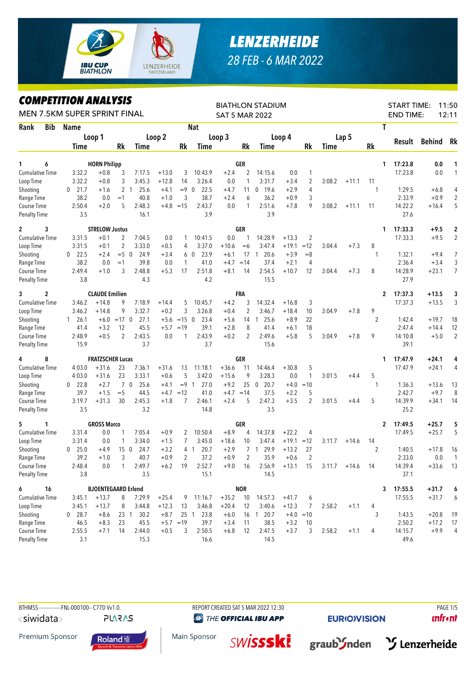

## *LENZERHEIDE 28 FEB - 6 MAR 2022*

## *COMPETITION ANALYSIS*

| <i><b>COMPEILION ANALYSIS</b></i><br>MEN 7.5KM SUPER SPRINT FINAL |                      |                            | <b>BIATHLON STADIUM</b><br><b>SAT 5 MAR 2022</b> |                        |         | <b>START TIME:</b><br>11:50<br><b>END TIME:</b><br>12:11 |                  |         |              |                        |         |                |        |         |                |         |         |                         |
|-------------------------------------------------------------------|----------------------|----------------------------|--------------------------------------------------|------------------------|---------|----------------------------------------------------------|------------------|---------|--------------|------------------------|---------|----------------|--------|---------|----------------|---------|---------|-------------------------|
| Rank<br>Bib                                                       | <b>Name</b>          |                            |                                                  |                        |         |                                                          | <b>Nat</b>       |         |              |                        |         |                |        |         | T              |         |         |                         |
|                                                                   |                      | Loop 1                     |                                                  |                        | Loop 2  |                                                          |                  | Loop 3  |              |                        | Loop 4  |                |        | Lap 5   |                |         |         |                         |
|                                                                   | Time                 |                            | Rk                                               | Time                   |         | Rk                                                       | Time             |         | Rk           | Time                   |         | Rk             | Time   |         | Rk             | Result  | Behind  | Rk                      |
| 6<br>1                                                            |                      | <b>HORN Philipp</b>        |                                                  |                        |         |                                                          |                  |         | GER          |                        |         |                |        |         | 1              | 17:23.8 | 0.0     | 1                       |
| <b>Cumulative Time</b>                                            | 3:32.2               | $+0.8$                     | 3                                                | 7:17.5                 | $+13.0$ | 3                                                        | 10:43.9          | $+2.4$  | 2            | 14:15.6                | 0.0     | $\mathbf{1}$   |        |         |                | 17:23.8 | 0.0     | $\mathbf{1}$            |
| Loop Time                                                         | 3:32.2               | $+0.8$                     | 3                                                | 3:45.3                 | $+12.8$ | 14                                                       | 3:26.4           | 0.0     | 1            | 3:31.7                 | $+3.4$  | $\overline{2}$ | 3:08.2 | $+11.1$ | 11             |         |         |                         |
| Shooting                                                          | 21.7<br>0            | $+1.6$                     |                                                  | 2 <sub>1</sub><br>25.6 | $+4.1$  | $= 9 \ 0$                                                | 22.5             | $+4.7$  | 11           | 19.6<br>$\mathbf 0$    | $+2.9$  | $\overline{4}$ |        |         | 1              | 1:29.5  | $+6.8$  | 4                       |
| Range Time                                                        | 38.2                 | 0.0                        | $=1$                                             | 40.8                   | $+1.0$  | 3                                                        | 38.7             | $+2.4$  | 6            | 36.2                   | $+0.9$  | 3              |        |         |                | 2:33.9  | $+0.9$  | $\overline{2}$          |
| Course Time                                                       | 2:50.4               | $+2.0$                     | 5                                                | 2:48.3                 |         | $+4.8 = 15$                                              | 2:43.7           | 0.0     | $\mathbf{1}$ | 2:51.6                 | $+7.8$  | 9              | 3:08.2 | $+11.1$ | 11             | 14:22.2 | $+16.4$ | 5                       |
| <b>Penalty Time</b>                                               | 3.5                  |                            |                                                  | 16.1                   |         |                                                          | 3.9              |         |              | 3.9                    |         |                |        |         |                | 27.6    |         |                         |
| 3<br>$\mathbf{2}$                                                 |                      | <b>STRELOW Justus</b>      |                                                  |                        |         |                                                          |                  |         | GER          |                        |         |                |        |         | 1              | 17:33.3 | $+9.5$  | $\overline{\mathbf{c}}$ |
| <b>Cumulative Time</b>                                            | 3:31.5               | $+0.1$                     | 2                                                | 7:04.5                 | 0.0     | 1                                                        | 10:41.5          | 0.0     | 1            | 14:28.9                | $+13.3$ | $\overline{2}$ |        |         |                | 17:33.3 | $+9.5$  | $\overline{2}$          |
| Loop Time                                                         | 3:31.5               | $+0.1$                     | $\overline{2}$                                   | 3:33.0                 | $+0.5$  | 4                                                        | 3:37.0           | $+10.6$ | $= 6$        | 3:47.4                 | $+19.1$ | $=12$          | 3:04.4 | $+7.3$  | 8              |         |         |                         |
| Shooting                                                          | 22.5<br>$\mathbf{0}$ | $+2.4$                     | $= 5 \ 0$                                        | 24.9                   | $+3.4$  | 6                                                        | 23.9<br>$\Omega$ | $+6.1$  | 17           | 20.6<br>$\overline{1}$ | $+3.9$  | $=8$           |        |         | 1              | 1:32.1  | $+9.4$  | $\overline{7}$          |
| Range Time                                                        | 38.2                 | 0.0                        | $=1$                                             | 39.8                   | 0.0     | 1                                                        | 41.0             | $+4.7$  | $=14$        | 37.4                   | $+2.1$  | 4              |        |         |                | 2:36.4  | $+3.4$  | 3                       |
| Course Time                                                       | 2:49.4               | $+1.0$                     | 3                                                | 2:48.8                 | $+5.3$  | 17                                                       | 2:51.8           | $+8.1$  | 14           | 2:54.5                 | $+10.7$ | 12             | 3:04.4 | $+7.3$  | 8              | 14:28.9 | $+23.1$ | $\overline{7}$          |
| <b>Penalty Time</b>                                               | 3.8                  |                            |                                                  | 4.3                    |         |                                                          | 4.2              |         |              | 15.5                   |         |                |        |         |                | 27.9    |         |                         |
| 2<br>3                                                            |                      | <b>CLAUDE Emilien</b>      |                                                  |                        |         |                                                          |                  |         | FRA          |                        |         |                |        |         | 2              | 17:37.3 | $+13.5$ | 3                       |
| <b>Cumulative Time</b>                                            | 3:46.2               | $+14.8$                    | 9                                                | 7:18.9                 | $+14.4$ | 5                                                        | 10:45.7          | $+4.2$  | 3            | 14:32.4                | $+16.8$ | 3              |        |         |                | 17:37.3 | $+13.5$ | 3                       |
| Loop Time                                                         | 3:46.2               | $+14.8$                    | 9                                                | 3:32.7                 | $+0.2$  | 3                                                        | 3:26.8           | $+0.4$  | 2            | 3:46.7                 | $+18.4$ | 10             | 3:04.9 | $+7.8$  | 9              |         |         |                         |
| Shooting                                                          | 26.1<br>$\mathbf{1}$ | $+6.0$                     | $=17$ 0                                          | 27.1                   | $+5.6$  | $=15$ 0                                                  | 23.4             | $+5.6$  | 14           | 25.6<br>$\overline{1}$ | $+8.9$  | 22             |        |         | $\overline{2}$ | 1:42.4  | $+19.7$ | 18                      |
| Range Time                                                        | 41.4                 | $+3.2$                     | 12                                               | 45.5                   | $+5.7$  | $=19$                                                    | 39.1             | $+2.8$  | 8            | 41.4                   | $+6.1$  | 18             |        |         |                | 2:47.4  | $+14.4$ | 12                      |
| Course Time                                                       | 2:48.9               | $+0.5$                     | 2                                                | 2:43.5                 | 0.0     | 1                                                        | 2:43.9           | $+0.2$  | 2            | 2:49.6                 | $+5.8$  | 5              | 3:04.9 | $+7.8$  | 9              | 14:10.8 | $+5.0$  | $\overline{2}$          |
| <b>Penalty Time</b>                                               | 15.9                 |                            |                                                  | 3.7                    |         |                                                          | 3.7              |         |              | 15.6                   |         |                |        |         |                | 39.1    |         |                         |
| 8<br>4                                                            |                      | <b>FRATZSCHER Lucas</b>    |                                                  |                        |         |                                                          |                  |         | GER          |                        |         |                |        |         | 1              | 17:47.9 | $+24.1$ | 4                       |
| <b>Cumulative Time</b>                                            | 4:03.0               | $+31.6$                    | 23                                               | 7:36.1                 | $+31.6$ | 13                                                       | 11:18.1          | $+36.6$ | 11           | 14:46.4                | $+30.8$ | 5              |        |         |                | 17:47.9 | $+24.1$ | 4                       |
| Loop Time                                                         | 4:03.0               | $+31.6$                    | 23                                               | 3:33.1                 | $+0.6$  | 5                                                        | 3:42.0           | $+15.6$ | 9            | 3:28.3                 | 0.0     | $\mathbf{1}$   | 3:01.5 | $+4.4$  | 5              |         |         |                         |
| Shooting                                                          | 22.8<br>$\mathbf{0}$ | $+2.7$                     |                                                  | 70<br>25.6             | $+4.1$  | $= 9 \quad 1$                                            | 27.0             | $+9.2$  | 25           | 20.7<br>$\overline{0}$ | $+4.0$  | $=10$          |        |         | 1              | 1:36.3  | $+13.6$ | 13                      |
| Range Time                                                        | 39.7                 | $+1.5$                     | $=$ 5                                            | 44.5                   | $+4.7$  | $=12$                                                    | 41.0             | $+4.7$  | $=14$        | 37.5                   | $+2.2$  | 5              |        |         |                | 2:42.7  | $+9.7$  | 8                       |
| Course Time                                                       | 3:19.7               | $+31.3$                    | 30                                               | 2:45.3                 | $+1.8$  | 7                                                        | 2:46.1           | $+2.4$  | 5            | 2:47.3                 | $+3.5$  | $\overline{2}$ | 3:01.5 | $+4.4$  | 5              | 14:39.9 | $+34.1$ | 14                      |
| <b>Penalty Time</b>                                               | 3.5                  |                            |                                                  | 3.2                    |         |                                                          | 14.8             |         |              | 3.5                    |         |                |        |         |                | 25.2    |         |                         |
| 5<br>1                                                            |                      | <b>GROSS Marco</b>         |                                                  |                        |         |                                                          |                  |         | GER          |                        |         |                |        |         | 2              | 17:49.5 | $+25.7$ | 5                       |
| Cumulative Time                                                   | 3:31.4               | 0.0                        | 1                                                | 7:05.4                 | $+0.9$  | 2                                                        | 10:50.4          | $+8.9$  | 4            | 14:37.8                | $+22.2$ | 4              |        |         |                | 17:49.5 | $+25.7$ | 5                       |
| Loop Time                                                         | 3:31.4               | 0.0                        | 1                                                | 3:34.0                 | $+1.5$  | 7                                                        | 3:45.0           | $+18.6$ | 10           | 3:47.4                 | $+19.1$ | $=12$          | 3:11.7 | $+14.6$ | 14             |         |         |                         |
| Shooting                                                          | 25.0<br>$\mathbf{0}$ | $+4.9$                     | 15 <sub>0</sub>                                  | 24.7                   | $+3.2$  |                                                          | 4 1<br>20.7      | $+2.9$  | 7            | 29.9<br>$\mathbf{1}$   | $+13.2$ | 27             |        |         | $\overline{2}$ | 1:40.5  | $+17.8$ | 16                      |
| Range Time                                                        | 39.2                 | $+1.0$                     | $\mathcal{E}$                                    | 40.7                   | $+0.9$  | 2                                                        | 37.2             | $+0.9$  | 2            | 35.9                   | $+0.6$  | 2              |        |         |                | 2:33.0  | 0.0     | $\overline{1}$          |
| Course Time                                                       | 2:48.4               | 0.0                        | 1                                                | 2:49.7                 | $+6.2$  | 19                                                       | 2:52.7           | $+9.0$  | 16           | 2:56.9                 | $+13.1$ | 15             | 3:11.7 | $+14.6$ | - 14           | 14:39.4 | $+33.6$ | 13                      |
| <b>Penalty Time</b>                                               | 3.8                  |                            |                                                  | 3.5                    |         |                                                          | 15.1             |         |              | 14.5                   |         |                |        |         |                | 37.1    |         |                         |
| 6<br>16                                                           |                      | <b>BJOENTEGAARD Erlend</b> |                                                  |                        |         |                                                          |                  |         | <b>NOR</b>   |                        |         |                |        |         | 3              | 17:55.5 | $+31.7$ | 6                       |
| Cumulative Time                                                   | 3:45.1               | $+13.7$                    | 8                                                | 7:29.9                 | $+25.4$ | 9                                                        | 11:16.7          | $+35.2$ | 10           | 14:57.3                | $+41.7$ | 6              |        |         |                | 17:55.5 | $+31.7$ | 6                       |
| Loop Time                                                         | 3:45.1               | $+13.7$                    | 8                                                | 3:44.8                 | $+12.3$ | 13                                                       | 3:46.8           | $+20.4$ | 12           | 3:40.6                 | $+12.3$ | 7              | 2:58.2 | $+1.1$  | 4              |         |         |                         |
| Shooting                                                          | $0$ 28.7             | $+8.6$                     |                                                  | 30.2<br>23 1           | $+8.7$  |                                                          | 25 1<br>23.8     | $+6.0$  |              | 16 1 20.7              |         | $+4.0 = 10$    |        |         | 3              | 1:43.5  | $+20.8$ | 19                      |
| Range Time                                                        | 46.5                 | $+8.3$                     | 23                                               | 45.5                   |         | $+5.7 = 19$                                              | 39.7             | $+3.4$  | 11           | 38.5                   | $+3.2$  | 10             |        |         |                | 2:50.2  | $+17.2$ | 17                      |
| Course Time                                                       | 2:55.5               | $+7.1$                     | 14                                               | 2:44.0                 | $+0.5$  | 3                                                        | 2:50.5           | $+6.8$  | 12           | 2:47.5                 | $+3.7$  | 3              | 2:58.2 | $+1.1$  | 4              | 14:15.7 | $+9.9$  | $\overline{4}$          |
| Penalty Time                                                      | 3.1                  |                            |                                                  | 15.3                   |         |                                                          | 16.6             |         |              | 14.5                   |         |                |        |         |                | 49.6    |         |                         |

BTHMSS---------------FNL-000100-- C77D Vv1.0. REPORT CREATED SAT 5 MAR 2022 12:30 PAGE 1/5 **PLARAS** <siwidata>

**@ THE OFFICIAL IBU APP** 

**EURIO)VISION** 

**unfront** 

Premium Sponsor



Main Sponsor **SWISSSKI** 



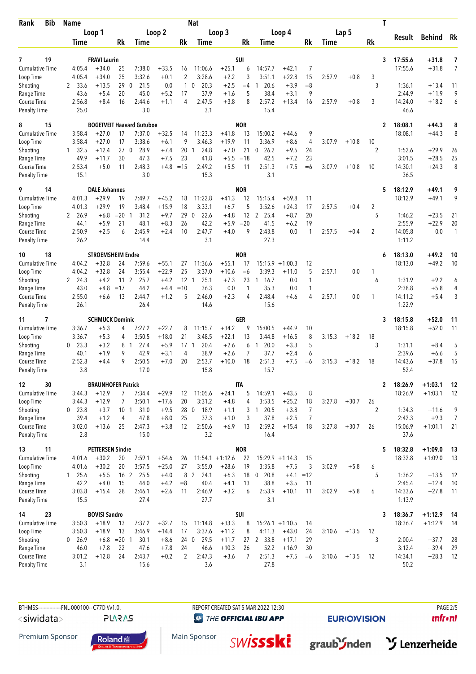| <b>Bib</b><br>Rank                  | <b>Name</b>                    |                                      |                 |                                  |                    |                | <b>Nat</b>          |                               |                 |                               |                              |                      |        |         | T                    |                     |                        |                |
|-------------------------------------|--------------------------------|--------------------------------------|-----------------|----------------------------------|--------------------|----------------|---------------------|-------------------------------|-----------------|-------------------------------|------------------------------|----------------------|--------|---------|----------------------|---------------------|------------------------|----------------|
|                                     | Loop 1                         |                                      | Loop 2          |                                  |                    | Loop 3         |                     |                               | Loop 4          |                               |                              | Lap 5                |        |         | Result               | <b>Behind</b><br>Rk |                        |                |
|                                     | <b>Time</b>                    |                                      | Rk              | <b>Time</b>                      |                    | Rk             | Time                |                               | Rk              | Time                          |                              | Rk                   | Time   |         | Rk                   |                     |                        |                |
| 19<br>7                             |                                | <b>FRAVI Laurin</b>                  |                 |                                  |                    |                |                     |                               | <b>SUI</b>      |                               |                              |                      |        |         | 3                    | 17:55.6             | +31.8                  | 7              |
| <b>Cumulative Time</b>              | 4:05.4                         | $+34.0$                              | 25              | 7:38.0                           | $+33.5$            | 16             | 11:06.6             | $+25.1$                       | 6               | 14:57.7                       | $+42.1$                      | 7                    |        |         |                      | 17:55.6             | $+31.8$                | $\overline{7}$ |
| Loop Time                           | 4:05.4                         | $+34.0$                              | 25              | 3:32.6                           | $+0.1$             | $\overline{2}$ | 3:28.6              | $+2.2$                        | 3               | 3:51.1                        | $+22.8$                      | 15                   | 2:57.9 | $+0.8$  | 3                    |                     |                        |                |
| Shooting                            | 33.6<br>2                      | $+13.5$                              | 29 0            | 21.5                             | 0.0                |                | 20.3<br>$1\quad0$   | $+2.5$                        | $=4$            | 20.6<br>1                     | $+3.9$                       | $=8$                 |        |         | 3                    | 1:36.1              | $+13.4$                | 11             |
| Range Time<br>Course Time           | 43.6<br>2:56.8                 | $+5.4$<br>$+8.4$                     | 20<br>16        | 45.0<br>2:44.6                   | $+5.2$<br>$+1.1$   | 17<br>4        | 37.9<br>2:47.5      | $+1.6$<br>$+3.8$              | 5<br>8          | 38.4<br>2:57.2                | $+3.1$<br>$+13.4$            | 9<br>16              | 2:57.9 | $+0.8$  | 3                    | 2:44.9<br>14:24.0   | $+11.9$<br>$+18.2$     | 9<br>6         |
| <b>Penalty Time</b>                 | 25.0                           |                                      |                 | 3.0                              |                    |                | 3.1                 |                               |                 | 15.4                          |                              |                      |        |         |                      | 46.6                |                        |                |
| 15<br>8                             |                                |                                      |                 | <b>BOGETVEIT Haavard Gutuboe</b> |                    |                |                     |                               | <b>NOR</b>      |                               |                              |                      |        |         | $\mathbf{2}$         | 18:08.1             | $+44.3$                | 8              |
| Cumulative Time                     | 3:58.4                         | $+27.0$                              | 17              | 7:37.0                           | $+32.5$            | 14             | 11:23.3             | $+41.8$                       | 13              | 15:00.2                       | $+44.6$                      | 9                    |        |         |                      | 18:08.1             | $+44.3$                | 8              |
| Loop Time                           | 3:58.4<br>32.5<br>$\mathbf{1}$ | $+27.0$<br>$+12.4$                   | 17<br>270       | 3:38.6<br>28.9                   | $+6.1$<br>$+7.4$   | 9<br>20        | 3:46.3<br>24.8<br>1 | $+19.9$<br>$+7.0$             | 11<br>21        | 3:36.9<br>26.2<br>$\mathbf 0$ | $+8.6$<br>$+9.5$             | $\overline{4}$<br>24 | 3:07.9 | $+10.8$ | 10<br>$\overline{2}$ | 1:52.6              | $+29.9$                | 26             |
| Shooting<br>Range Time              | 49.9                           | $+11.7$                              | 30              | 47.3                             | $+7.5$             | 23             | 41.8                | $+5.5$                        | $=18$           | 42.5                          | $+7.2$                       | 23                   |        |         |                      | 3:01.5              | $+28.5$                | 25             |
| Course Time                         | 2:53.4                         | $+5.0$                               | 11              | 2:48.3                           | $+4.8$             | $=15$          | 2:49.2              | $+5.5$                        | 11              | 2:51.3                        | $+7.5$                       | $=6$                 | 3:07.9 | $+10.8$ | 10                   | 14:30.1             | $+24.3$                | 8              |
| <b>Penalty Time</b>                 | 15.1                           |                                      |                 | 3.0                              |                    |                | 15.3                |                               |                 | 3.1                           |                              |                      |        |         |                      | 36.5                |                        |                |
| 9<br>14                             |                                | <b>DALE Johannes</b><br>$+29.9$      |                 | 7:49.7                           |                    |                |                     |                               | <b>NOR</b>      |                               |                              |                      |        |         | 5                    | 18:12.9<br>18:12.9  | $+49.1$<br>$+49.1$     | 9<br>9         |
| <b>Cumulative Time</b><br>Loop Time | 4:01.3<br>4:01.3               | $+29.9$                              | 19<br>19        | 3:48.4                           | $+45.2$<br>$+15.9$ | 18<br>18       | 11:22.8<br>3:33.1   | $+41.3$<br>$+6.7$             | 12<br>5         | 15:15.4<br>3:52.6             | $+59.8$<br>$+24.3$           | 11<br>17             | 2:57.5 | $+0.4$  | $\overline{2}$       |                     |                        |                |
| Shooting                            | 2 26.9                         | $+6.8$                               | $= 20$ 1        | 31.2                             | $+9.7$             | 29             | 22.6<br>- 0         | $+4.8$                        | 12              | 25.4<br>2                     | $+8.7$                       | 20                   |        |         | 5                    | 1:46.2              | $+23.5$                | 21             |
| Range Time                          | 44.1                           | $+5.9$                               | 21              | 48.1                             | $+8.3$             | 26             | 42.2                | $+5.9$                        | $=20$           | 41.5                          | $+6.2$                       | 19                   |        |         |                      | 2:55.9              | $+22.9$                | 20             |
| Course Time                         | 2:50.9                         | $+2.5$                               | 6               | 2:45.9                           | $+2.4$             | 10             | 2:47.7              | $+4.0$                        | 9               | 2:43.8                        | 0.0                          | $\mathbf{1}$         | 2:57.5 | $+0.4$  | 2                    | 14:05.8             | 0.0                    | $\mathbf{1}$   |
| <b>Penalty Time</b>                 | 26.2                           |                                      |                 | 14.4                             |                    |                | 3.1                 |                               |                 | 27.3                          |                              |                      |        |         |                      | 1:11.2              |                        |                |
| 18<br>10                            |                                | <b>STROEMSHEIM Endre</b>             |                 |                                  |                    |                |                     |                               | <b>NOR</b>      |                               |                              |                      |        |         | 6                    | 18:13.0             | +49.2                  | 10             |
| <b>Cumulative Time</b><br>Loop Time | 4:04.2<br>4:04.2               | $+32.8$<br>$+32.8$                   | 24<br>24        | 7:59.6<br>3:55.4                 | $+55.1$<br>$+22.9$ | 27<br>25       | 11:36.6<br>3:37.0   | $+55.1$<br>$+10.6$            | 17<br>$=6$      | 15:15.9<br>3:39.3             | $+1:00.3$<br>$+11.0$         | 12<br>5              | 2:57.1 | 0.0     | 1                    | 18:13.0             | $+49.2$                | 10             |
| Shooting                            | 2 24.3                         | $+4.2$                               | 11 <sub>2</sub> | 25.7                             | $+4.2$             | $12-1$         | 25.1                | $+7.3$                        | 23              | 16.7<br>$\overline{1}$        | 0.0                          | $\mathbf{1}$         |        |         | 6                    | 1:31.9              | $+9.2$                 | 6              |
| Range Time                          | 43.0                           | $+4.8$                               | $=17$           | 44.2                             | $+4.4$             | $=10$          | 36.3                | 0.0                           | 1               | 35.3                          | 0.0                          | $\mathbf{1}$         |        |         |                      | 2:38.8              | $+5.8$                 | 4              |
| Course Time                         | 2:55.0                         | $+6.6$                               | 13              | 2:44.7                           | $+1.2$             | 5              | 2:46.0              | $+2.3$                        | $\overline{4}$  | 2:48.4                        | $+4.6$                       | 4                    | 2:57.1 | 0.0     | 1                    | 14:11.2             | $+5.4$                 | 3              |
| <b>Penalty Time</b>                 | 26.1                           |                                      |                 | 26.4                             |                    |                | 14.6                |                               |                 | 15.6                          |                              |                      |        |         |                      | 1:22.9              |                        |                |
| 7<br>11                             |                                | <b>SCHMUCK Dominic</b>               |                 |                                  |                    |                |                     |                               | <b>GER</b>      |                               |                              |                      |        |         | 3                    | 18:15.8             | $+52.0$                | 11             |
| <b>Cumulative Time</b><br>Loop Time | 3:36.7<br>3:36.7               | $+5.3$<br>$+5.3$                     | 4<br>4          | 7:27.2<br>3:50.5                 | $+22.7$<br>$+18.0$ | 8<br>21        | 11:15.7<br>3:48.5   | $+34.2$<br>$+22.1$            | 9<br>13         | 15:00.5<br>3:44.8             | $+44.9$<br>$+16.5$           | 10<br>8              | 3:15.3 | $+18.2$ | 18                   | 18:15.8             | $+52.0$                | 11             |
| Shooting                            | 23.3<br>0                      | $+3.2$                               | 8 1             | 27.4                             | $+5.9$             | $17-1$         | 20.4                | $+2.6$                        | 6               | 20.0<br>1                     | $+3.3$                       | 5                    |        |         | 3                    | 1:31.1              | $+8.4$                 | 5              |
| Range Time                          | 40.1                           | $+1.9$                               | 9               | 42.9                             | $+3.1$             | 4              | 38.9                | $+2.6$                        | 7               | 37.7                          | $+2.4$                       | 6                    |        |         |                      | 2:39.6              | $+6.6$                 | 5              |
| Course Time                         | 2:52.8                         | $+4.4$                               | 9               | 2:50.5                           | $+7.0$             | 20             | 2:53.7              | $+10.0$                       | 18              | 2:51.3                        | $+7.5$                       | $=6$                 | 3:15.3 | $+18.2$ | 18                   | 14:43.6             | $+37.8$                | 15             |
| <b>Penalty Time</b>                 | 3.8                            |                                      |                 | 17.0                             |                    |                | 15.8                |                               |                 | 15.7                          |                              |                      |        |         |                      | 52.4                |                        |                |
| 30<br>12<br><b>Cumulative Time</b>  | 3:44.3                         | <b>BRAUNHOFER Patrick</b><br>$+12.9$ | 7               | 7:34.4                           | $+29.9$            | 12             | 11:05.6             | $+24.1$                       | <b>ITA</b><br>5 | 14:59.1                       | $+43.5$                      | 8                    |        |         | $\mathbf{2}$         | 18:26.9<br>18:26.9  | $+1:03.1$<br>$+1:03.1$ | 12<br>12       |
| Loop Time                           | 3:44.3                         | $+12.9$                              | 7               | 3:50.1                           | $+17.6$            | 20             | 3:31.2              | $+4.8$                        | 4               | 3:53.5                        | $+25.2$                      | 18                   | 3:27.8 | $+30.7$ | 26                   |                     |                        |                |
| Shooting                            | $0$ 23.8                       | $+3.7$                               | 10 1            | 31.0                             | $+9.5$             |                | 28 0 18.9           | $+1.1$                        | 3               | 120.5                         | $+3.8$                       | 7                    |        |         | 2                    | 1:34.3              | $+11.6$                | 9              |
| Range Time                          | 39.4                           | $+1.2$                               | 4               | 47.8                             | $+8.0$             | 25             | 37.3                | $+1.0$                        | 3               | 37.8                          | $+2.5$                       | $\overline{7}$       |        |         |                      | 2:42.3              | $+9.3$                 | $\overline{7}$ |
| Course Time                         | 3:02.0                         | $+13.6$                              | 25              | 2:47.3                           | $+3.8$             | 12             | 2:50.6              | $+6.9$                        | 13              | 2:59.2                        | $+15.4$                      | 18                   | 3:27.8 | $+30.7$ | 26                   | 15:06.9             | $+1:01.1$              | 21             |
| <b>Penalty Time</b>                 | 2.8                            |                                      |                 | 15.0                             |                    |                | 3.2                 |                               |                 | 16.4                          |                              |                      |        |         |                      | 37.6                |                        |                |
| 11<br>13                            |                                | <b>PETTERSEN Sindre</b>              |                 |                                  |                    |                |                     |                               | <b>NOR</b>      |                               |                              |                      |        |         | 5                    | 18:32.8             | $+1:09.0$              | 13             |
| <b>Cumulative Time</b><br>Loop Time | 4:01.6<br>4:01.6               | $+30.2$<br>$+30.2$                   | 20<br>20        | 7:59.1<br>3:57.5                 | $+54.6$<br>$+25.0$ | 26<br>27       | 3:55.0              | $11:54.1 + 1:12.6$<br>$+28.6$ | 22<br>19        | 3:35.8                        | $15:29.9 + 1:14.3$<br>$+7.5$ | 15<br>3              | 3:02.9 | $+5.8$  | 6                    | 18:32.8             | $+1:09.0$              | 13             |
| Shooting                            | 25.6<br>$\mathbf{1}$           | $+5.5$                               | 16 <sub>2</sub> | 25.5                             | $+4.0$             |                | 8 2<br>24.1         | $+6.3$                        | 18              | 20.8<br>$\mathbf 0$           | $+4.1 = 12$                  |                      |        |         | 5                    | 1:36.2              | $+13.5$                | 12             |
| Range Time                          | 42.2                           | $+4.0$                               | 15              | 44.0                             | $+4.2$             | $= 8$          | 40.4                | $+4.1$                        | 13              | 38.8                          | $+3.5$                       | 11                   |        |         |                      | 2:45.4              | $+12.4$                | 10             |
| Course Time                         | 3:03.8                         | $+15.4$                              | 28              | 2:46.1                           | $+2.6$             | 11             | 2:46.9              | $+3.2$                        | 6               | 2:53.9                        | $+10.1$                      | 11                   | 3:02.9 | $+5.8$  | 6                    | 14:33.6             | $+27.8$                | 11             |
| <b>Penalty Time</b>                 | 15.5                           |                                      |                 | 27.4                             |                    |                | 27.7                |                               |                 | 3.1                           |                              |                      |        |         |                      | 1:13.9              |                        |                |
| 23<br>14<br><b>Cumulative Time</b>  | 3:50.3                         | <b>BOVISI Sandro</b><br>$+18.9$      |                 | 7:37.2                           | $+32.7$            | 15             | 11:14.8             | $+33.3$                       | SUI             |                               | $15:26.1 + 1:10.5$           | 14                   |        |         | 3                    | 18:36.7<br>18:36.7  | $+1:12.9$<br>$+1:12.9$ | - 14           |
| Loop Time                           | 3:50.3                         | $+18.9$                              | 13<br>13        | 3:46.9                           | $+14.4$            | 17             | 3:37.6              | $+11.2$                       | 8<br>8          | 4:11.3                        | $+43.0$                      | 24                   | 3:10.6 | $+13.5$ | 12                   |                     |                        | -14            |
| Shooting                            | 26.9<br>0                      |                                      | $+6.8$ = 20 1   | 30.1                             | $+8.6$             | 24 0           | 29.5                | $+11.7$                       |                 | 27 2 33.8                     | $+17.1$                      | 29                   |        |         | 3                    | 2:00.4              | $+37.7$                | 28             |
| Range Time                          | 46.0                           | $+7.8$                               | 22              | 47.6                             | $+7.8$             | 24             | 46.6                | $+10.3$                       | 26              | 52.2                          | $+16.9$                      | 30                   |        |         |                      | 3:12.4              | $+39.4$                | 29             |
| Course Time                         | 3:01.2                         | $+12.8$                              | 24              | 2:43.7                           | $+0.2$             | $\overline{2}$ | 2:47.3              | $+3.6$                        | 7               | 2:51.3                        | $+7.5$                       | $=6$                 | 3:10.6 | $+13.5$ | 12                   | 14:34.1             | $+28.3$                | 12             |
| <b>Penalty Time</b>                 | 3.1                            |                                      |                 | 15.6                             |                    |                | 3.6                 |                               |                 | 27.8                          |                              |                      |        |         |                      | 50.2                |                        |                |

BTHMSS---------------FNL-000100-- C77D Vv1.0. REPORT CREATED SAT 5 MAR 2022 12:30 PAGE 205 <siwidata> **PLARAS** 

**@ THE OFFICIAL IBU APP** 

**EURIOVISION** 

 $unfront$ 

Premium Sponsor



Main Sponsor **SWİSSSKİ** 



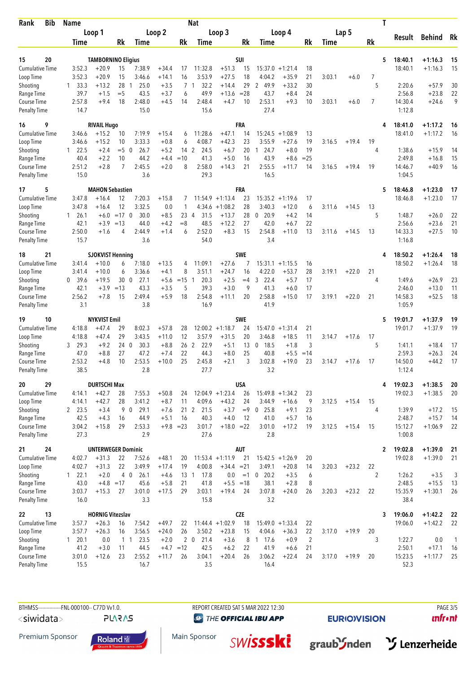| Bib<br>Rank                        | Name                   |                           |             | Nat                  |                  |                     |                              |                    |              |                      |                   |          | Т      |         |                |              |                   |                    |                |
|------------------------------------|------------------------|---------------------------|-------------|----------------------|------------------|---------------------|------------------------------|--------------------|--------------|----------------------|-------------------|----------|--------|---------|----------------|--------------|-------------------|--------------------|----------------|
|                                    | Loop 1                 |                           | Loop 2      |                      |                  | Loop 3              |                              |                    |              | Loop 4               |                   |          |        | Lap 5   |                |              |                   |                    |                |
|                                    | Time                   |                           | Rk          | Time                 |                  | Rk                  | Time                         |                    | Rk           | Time                 |                   | Rk       | Time   |         | Rk             |              | Result            | <b>Behind</b>      | Rk             |
|                                    |                        |                           |             |                      |                  |                     |                              |                    |              |                      |                   |          |        |         |                |              |                   |                    |                |
| 15<br>20                           |                        | <b>TAMBORNINO Eligius</b> |             |                      |                  |                     |                              |                    | SUI          |                      |                   |          |        |         |                | 5            | 18:40.1           | $+1:16.3$          | 15             |
| <b>Cumulative Time</b>             | 3:52.3                 | $+20.9$                   | 15          | 7:38.9               | $+34.4$          | 17                  | 11:32.8                      | $+51.3$            | 15           | 15:37.0              | $+1:21.4$         | 18       |        |         |                |              | 18:40.1           | $+1:16.3$          | 15             |
| Loop Time                          | 3:52.3                 | $+20.9$                   | 15          | 3:46.6               | $+14.1$          | 16                  | 3:53.9                       | $+27.5$            | 18           | 4:04.2               | $+35.9$           | 21       | 3:03.1 | $+6.0$  | 7              |              |                   |                    |                |
| Shooting<br>Range Time             | $1 \quad 33.3$<br>39.7 | $+13.2$<br>$+1.5$         | 28<br>$=$ 5 | 25.0<br>-1<br>43.5   | $+3.5$<br>$+3.7$ | $\overline{7}$<br>6 | 32.2<br>$\mathbf{1}$<br>49.9 | $+14.4$<br>$+13.6$ | 29<br>$= 28$ | 2 49.9<br>43.7       | $+33.2$<br>$+8.4$ | 30<br>24 |        |         | 5              |              | 2:20.6<br>2:56.8  | $+57.9$<br>$+23.8$ | 30<br>22       |
| Course Time                        | 2:57.8                 | $+9.4$                    | 18          | 2:48.0               | $+4.5$           | 14                  | 2:48.4                       | $+4.7$             | 10           | 2:53.1               | $+9.3$            | 10       | 3:03.1 | $+6.0$  | $\overline{7}$ |              | 14:30.4           | $+24.6$            | 9              |
| Penalty Time                       | 14.7                   |                           |             | 15.0                 |                  |                     | 15.6                         |                    |              | 27.4                 |                   |          |        |         |                |              | 1:12.8            |                    |                |
| 9<br>16                            |                        | <b>RIVAIL Hugo</b>        |             |                      |                  |                     |                              |                    | <b>FRA</b>   |                      |                   |          |        |         |                |              | 18:41.0           | $+1:17.2$          | 16             |
| <b>Cumulative Time</b>             | 3:46.6                 | $+15.2$                   | 10          | 7:19.9               | $+15.4$          | 6                   | 11:28.6                      | $+47.1$            | 14           | 15:24.5              | $+1:08.9$         | 13       |        |         |                |              | 18:41.0           | $+1:17.2$          | 16             |
| Loop Time                          | 3:46.6                 | $+15.2$                   | 10          | 3:33.3               | $+0.8$           | 6                   | 4:08.7                       | $+42.3$            | 23           | 3:55.9               | $+27.6$           | 19       | 3:16.5 | $+19.4$ | 19             |              |                   |                    |                |
| Shooting                           | $1 \quad 22.5$         | $+2.4$                    | $=5$ 0      | 26.7                 | $+5.2$           | 14                  | 2<br>24.5                    | $+6.7$             | 20           | 24.7<br>$\mathbf{1}$ | $+8.0$            | 19       |        |         | 4              |              | 1:38.6            | $+15.9$            | 14             |
| Range Time                         | 40.4                   | $+2.2$                    | 10          | 44.2                 | $+4.4$           | $=10$               | 41.3                         | $+5.0$             | 16           | 43.9                 | $+8.6$            | $= 25$   |        |         |                |              | 2:49.8            | $+16.8$            | 15             |
| Course Time                        | 2:51.2                 | $+2.8$                    | 7           | 2:45.5               | $+2.0$           | 8                   | 2:58.0                       | $+14.3$            | 21           | 2:55.5               | $+11.7$           | 14       | 3:16.5 | $+19.4$ | 19             |              | 14:46.7           | $+40.9$            | 16             |
| <b>Penalty Time</b>                | 15.0                   |                           |             | 3.6                  |                  |                     | 29.3                         |                    |              | 16.5                 |                   |          |        |         |                |              | 1:04.5            |                    |                |
| 5<br>17                            |                        | <b>MAHON Sebastien</b>    |             |                      |                  |                     |                              |                    | <b>FRA</b>   |                      |                   |          |        |         |                | 5            | 18:46.8           | $+1:23.0$          | 17             |
| <b>Cumulative Time</b>             | 3:47.8                 | $+16.4$                   | 12          | 7:20.3               | $+15.8$          | 7                   |                              | $11:54.9 + 1:13.4$ | 23           | 15:35.2              | $+1:19.6$         | 17       |        |         |                |              | 18:46.8           | $+1:23.0$          | 17             |
| Loop Time                          | 3:47.8                 | $+16.4$                   | 12          | 3:32.5               | 0.0              | 1                   | 4:34.6                       | $+1:08.2$          | 28           | 3:40.3               | $+12.0$           | 6        | 3:11.6 | $+14.5$ | 13             |              |                   |                    |                |
| Shooting                           | $1 \quad 26.1$         | $+6.0$                    | $=17$ 0     | 30.0                 | $+8.5$           | 23                  | 31.5<br>4                    | $+13.7$            | 28           | 0.20.9               | $+4.2$            | 14       |        |         | 5              |              | 1:48.7            | $+26.0$            | 22             |
| Range Time                         | 42.1                   | $+3.9$                    | $=13$       | 44.0                 | +4.2             | $=$ 8               | 48.5                         | $+12.2$            | 27           | 42.0                 | $+6.7$            | 22       |        |         |                |              | 2:56.6            | $+23.6$            | 21             |
| Course Time<br><b>Penalty Time</b> | 2:50.0<br>15.7         | $+1.6$                    | 4           | 2:44.9<br>3.6        | $+1.4$           | 6                   | 2:52.0<br>54.0               | $+8.3$             | 15           | 2:54.8<br>3.4        | $+11.0$           | 13       | 3:11.6 | $+14.5$ | 13             |              | 14:33.3<br>1:16.8 | $+27.5$            | 10             |
| 21                                 |                        | <b>SJOKVIST Henning</b>   |             |                      |                  |                     |                              |                    | SWE          |                      |                   |          |        |         |                |              | 18:50.2           | $+1:26.4$          |                |
| 18<br><b>Cumulative Time</b>       | 3:41.4                 | $+10.0$                   | 6           | 7:18.0               | $+13.5$          | 4                   | 11:09.1                      | $+27.6$            | 7            | $15:31.1 + 1:15.5$   |                   | 16       |        |         |                | 4            | 18:50.2           | $+1:26.4$          | 18<br>18       |
| Loop Time                          | 3:41.4                 | $+10.0$                   | 6           | 3:36.6               | $+4.1$           | 8                   | 3:51.1                       | $+24.7$            | 16           | 4:22.0               | $+53.7$           | 28       | 3:19.1 | $+22.0$ | 21             |              |                   |                    |                |
| Shooting                           | 0, 39.6                | $+19.5$                   | 30          | $\mathbf{0}$<br>27.1 | $+5.6$           | $=15$               | 20.3<br>$\mathbf{1}$         | $+2.5$             | $=4$         | 22.4<br>3            | $+5.7$            | 17       |        |         | 4              |              | 1:49.6            | $+26.9$            | 23             |
| Range Time                         | 42.1                   | $+3.9$                    | $=13$       | 43.3                 | $+3.5$           | 5                   | 39.3                         | $+3.0$             | 9            | 41.3                 | $+6.0$            | 17       |        |         |                |              | 2:46.0            | $+13.0$            | 11             |
| Course Time                        | 2:56.2                 | $+7.8$                    | 15          | 2:49.4               | +5.9             | 18                  | 2:54.8                       | $+11.1$            | 20           | 2:58.8               | $+15.0$           | 17       | 3:19.1 | $+22.0$ | 21             |              | 14:58.3           | $+52.5$            | 18             |
| <b>Penalty Time</b>                | 3.1                    |                           |             | 3.8                  |                  |                     | 16.9                         |                    |              | 41.9                 |                   |          |        |         |                |              | 1:05.9            |                    |                |
| 10<br>19                           |                        | <b>NYKVIST Emil</b>       |             |                      |                  |                     |                              |                    | <b>SWE</b>   |                      |                   |          |        |         |                | 5            | 19:01.7           | $+1:37.9$          | 19             |
| <b>Cumulative Time</b>             | 4:18.8                 | $+47.4$                   | 29          | 8:02.3               | $+57.8$          | 28                  |                              | $12:00.2 +1:18.7$  | 24           | 15:47.0              | $+1:31.4$         | 21       |        |         |                |              | 19:01.7           | $+1:37.9$          | 19             |
| Loop Time                          | 4:18.8                 | $+47.4$                   | 29          | 3:43.5               | $+11.0$          | 12                  | 3:57.9                       | $+31.5$            | 20           | 3:46.8               | $+18.5$           | 11       | 3:14.7 | $+17.6$ | 17             |              |                   |                    |                |
| Shooting                           | 29.3<br>3              | $+9.2$                    | 240         | 30.3                 | $+8.8$           | 26                  | 2<br>22.9                    | $+5.1$             | 13           | 18.5<br>0            | $+1.8$            | 3        |        |         | 5              |              | 1:41.1            | $+18.4$            | 17             |
| Range Time                         | 47.0                   | $+8.8$                    | 27          | 47.2                 | $+7.4$           | 22                  | 44.3                         | $+8.0$             | 25           | 40.8                 | $+5.5$            | $=14$    |        |         |                |              | 2:59.3            | $+26.3$            | 24             |
| Course Time<br><b>Penalty Time</b> | 2:53.2<br>38.5         | $+4.8$                    | 10          | 2:53.5<br>2.8        | $+10.0$          | 25                  | 2:45.8<br>27.7               | $+2.1$             | 3            | 3:02.8<br>3.2        | $+19.0$           | 23       | 3:14.7 | $+17.6$ | 17             |              | 14:50.0<br>1:12.4 | $+44.2$            | 17             |
| 20<br>29                           |                        | <b>DURTSCHI Max</b>       |             |                      |                  |                     |                              |                    | USA          |                      |                   |          |        |         |                | 4            | 19:02.3           | $+1:38.5$          |                |
| Cumulative Time                    | 4:14.1                 | $+42.7$                   | 28          | 7:55.3               | $+50.8$          | 24                  |                              | $12:04.9 + 1:23.4$ | 26           | $15:49.8 + 1:34.2$   |                   | 23       |        |         |                |              | 19:02.3           | $+1:38.5$          | 20<br>20       |
| Loop Time                          | 4:14.1                 | $+42.7$                   | 28          | 3:41.2               | $+8.7$           | 11                  | 4:09.6                       | $+43.2$            | 24           | 3:44.9               | $+16.6$           | 9        | 3:12.5 | $+15.4$ | 15             |              |                   |                    |                |
| Shooting                           | 2 23.5                 | $+3.4$                    | 9 0         | 29.1                 | $+7.6$           |                     | 21 2 21.5                    | $+3.7$             | $=9$         | $0$ 25.8             | $+9.1$            | 23       |        |         | 4              |              | 1:39.9            | $+17.2$            | -15            |
| Range Time                         | 42.5                   | $+4.3$                    | 16          | 44.9                 | $+5.1$           | 16                  | 40.3                         | $+4.0$             | 12           | 41.0                 | $+5.7$            | 16       |        |         |                |              | 2:48.7            | $+15.7$            | 14             |
| Course Time                        | 3:04.2                 | $+15.8$                   | 29          | 2:53.3               | $+9.8 = 23$      |                     | 3:01.7                       | $+18.0 = 22$       |              | 3:01.0               | $+17.2$           | 19       | 3:12.5 | $+15.4$ | 15             |              | 15:12.7           | $+1:06.9$          | 22             |
| <b>Penalty Time</b>                | 27.3                   |                           |             | 2.9                  |                  |                     | 27.6                         |                    |              | 2.8                  |                   |          |        |         |                |              | 1:00.8            |                    |                |
| 24<br>21                           |                        | <b>UNTERWEGER Dominic</b> |             |                      |                  |                     |                              |                    | AUT          |                      |                   |          |        |         |                | $\mathbf{2}$ | 19:02.8           | $+1:39.0$          | 21             |
| <b>Cumulative Time</b>             | 4:02.7                 | $+31.3$                   | 22          | 7:52.6               | $+48.1$          | 20                  |                              | $11:53.4 +1:11.9$  | 21           | $15:42.5 +1:26.9$    |                   | 20       |        |         |                |              | 19:02.8           | $+1:39.0$          | 21             |
| Loop Time                          | 4:02.7                 | $+31.3$                   | 22          | 3:49.9               | $+17.4$          | 19                  | 4:00.8                       | $+34.4 = 21$       |              | 3:49.1               | $+20.8$           | 14       | 3:20.3 | $+23.2$ | 22             |              |                   |                    |                |
| Shooting                           | 122.1                  | $+2.0$                    | $4\quad0$   | 26.1                 | $+4.6$           | $13 \quad 1$        | 17.8                         | 0.0                | $=1$         | $0$ 20.2             | $+3.5$            | 6        |        |         | 2              |              | 1:26.2            | $+3.5$             | 3              |
| Range Time                         | 43.0                   | $+4.8$ = 17               |             | 45.6                 | $+5.8$           | 21                  | 41.8                         | $+5.5 = 18$        |              | 38.1                 | $+2.8$            | 8        |        |         |                |              | 2:48.5            | $+15.5$            | -13            |
| Course Time<br><b>Penalty Time</b> | 3:03.7<br>16.0         | $+15.3$                   | 27          | 3:01.0<br>3.3        | $+17.5$          | 29                  | 3:03.1<br>15.8               | $+19.4$            | 24           | 3:07.8<br>3.2        | $+24.0$           | 26       | 3:20.3 | $+23.2$ | 22             |              | 15:35.9<br>38.4   | $+1:30.1$          | 26             |
| 22<br>13                           |                        | <b>HORNIG Vitezslav</b>   |             |                      |                  |                     |                              |                    | <b>CZE</b>   |                      |                   |          |        |         |                | 3            | 19:06.0           | $+1:42.2$          | -22            |
| <b>Cumulative Time</b>             | 3:57.7                 | $+26.3$                   | 16          | 7:54.2               | $+49.7$          | 22                  |                              | $11:44.4 + 1:02.9$ | 18           | $15:49.0 + 1:33.4$   |                   | 22       |        |         |                |              | 19:06.0           | $+1:42.2$          | 22             |
| Loop Time                          | 3:57.7                 | $+26.3$                   | 16          | 3:56.5               | $+24.0$          | 26                  | 3:50.2                       | $+23.8$            | 15           | 4:04.6               | $+36.3$           | 22       | 3:17.0 | $+19.9$ | 20             |              |                   |                    |                |
| Shooting                           | 1 20.1                 | 0.0                       | 1 1         | 23.5                 | $+2.0$           |                     | 2 <sub>0</sub><br>21.4       | $+3.6$             | 8            | $1 \t17.6$           | $+0.9$            | 2        |        |         | 3              |              | 1:22.7            | 0.0                | $\overline{1}$ |
| Range Time                         | 41.2                   | $+3.0$                    | 11          | 44.5                 | $+4.7$           | $=12$               | 42.5                         | $+6.2$             | 22           | 41.9                 | $+6.6$            | 21       |        |         |                |              | 2:50.1            | $+17.1$            | 16             |
| Course Time                        | 3:01.0                 | $+12.6$                   | 23          | 2:55.2               | $+11.7$          | 26                  | 3:04.1                       | $+20.4$            | 26           | 3:06.2               | $+22.4$           | 24       | 3:17.0 | $+19.9$ | 20             |              | 15:23.5           | $+1:17.7$          | 25             |
| <b>Penalty Time</b>                | 15.5                   |                           |             | 16.7                 |                  |                     | 3.5                          |                    |              | 16.4                 |                   |          |        |         |                |              | 52.3              |                    |                |

BTHMSS---------------FNL-000100-- C77D Vv1.0. REPORT CREATED SAT 5 MAR 2022 12:30 PAGE 3/5 <siwidata> **PLARAS** 

**@ THE OFFICIAL IBU APP** 

**SWİSSSKİ** 

**EURIOVISION** 

 $unfront$ 

Premium Sponsor



Main Sponsor

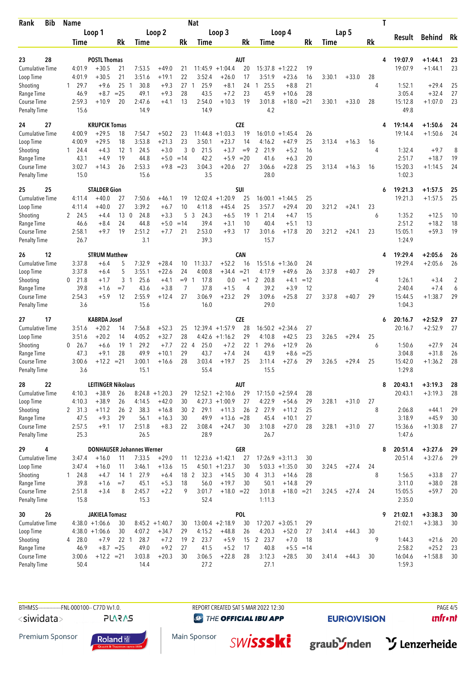| Rank                               | <b>Bib</b> | Name             |                           |                 |                                  |                    |                | <b>Nat</b>           |                                         |            | Т                    |                   |              |        |         |    |                   |                      |          |
|------------------------------------|------------|------------------|---------------------------|-----------------|----------------------------------|--------------------|----------------|----------------------|-----------------------------------------|------------|----------------------|-------------------|--------------|--------|---------|----|-------------------|----------------------|----------|
|                                    |            | Loop 1           |                           |                 | Loop 2                           |                    | Loop 3         |                      |                                         |            |                      | Loop 4            |              |        | Lap 5   |    |                   |                      |          |
|                                    |            | Time             |                           | Rk              | Time                             |                    | Rk             | Time                 |                                         | Rk         | Time                 |                   | Rk           | Time   |         | Rk | Result            | <b>Behind</b>        | Rk       |
|                                    |            |                  |                           |                 |                                  |                    |                |                      |                                         |            |                      |                   |              |        |         |    |                   |                      |          |
| 28<br>23                           |            |                  | <b>POSTL Thomas</b>       |                 |                                  |                    |                |                      |                                         | AUT        |                      |                   |              |        |         | 4  | 19:07.9           | $+1:44.1$            | 23       |
| <b>Cumulative Time</b>             |            | 4:01.9           | $+30.5$                   | 21              | 7:53.5                           | $+49.0$            | 21             |                      | $11:45.9 + 1:04.4$                      | 20         | 15:37.8              | $+1:22.2$         | 19           |        |         |    | 19:07.9           | $+1:44.1$            | 23       |
| Loop Time                          |            | 4:01.9           | $+30.5$                   | 21              | 3:51.6                           | $+19.1$            | 22             | 3:52.4               | $+26.0$                                 | 17         | 3:51.9               | $+23.6$           | 16           | 3:30.1 | $+33.0$ | 28 |                   |                      |          |
| Shooting                           |            | 1 29.7           | $+9.6$                    | 25              | 30.8<br>-1                       | $+9.3$             | 27             | 25.9<br>-1           | $+8.1$                                  | 24         | 25.5<br>1            | $+8.8$            | 21           |        |         | 4  | 1:52.1            | $+29.4$              | 25       |
| Range Time                         |            | 46.9             | $+8.7$                    | $= 25$          | 49.1                             | $+9.3$             | 28             | 43.5                 | $+7.2$                                  | 23         | 45.9                 | $+10.6$           | 28           |        |         |    | 3:05.4            | $+32.4$              | 27       |
| Course Time<br><b>Penalty Time</b> |            | 2:59.3<br>15.6   | $+10.9$                   | 20              | 2:47.6<br>14.9                   | $+4.1$             | 13             | 2:54.0<br>14.9       | $+10.3$                                 | 19         | 3:01.8<br>4.2        | $+18.0$           | $= 21$       | 3:30.1 | $+33.0$ | 28 | 15:12.8<br>49.8   | $+1:07.0$            | 23       |
| 24<br>27                           |            |                  | <b>KRUPCIK Tomas</b>      |                 |                                  |                    |                |                      |                                         | <b>CZE</b> |                      |                   |              |        |         | 4  | 19:14.4           | $+1:50.6$            | 24       |
| <b>Cumulative Time</b>             |            | 4:00.9           | $+29.5$                   | 18              | 7:54.7                           | $+50.2$            | 23             |                      | $11:44.8 + 1:03.3$                      | 19         | 16:01.0              | $+1:45.4$         | 26           |        |         |    | 19:14.4           | $+1:50.6$            | 24       |
| Loop Time                          |            | 4:00.9           | $+29.5$                   | 18              | 3:53.8                           | $+21.3$            | 23             | 3:50.1               | $+23.7$                                 | 14         | 4:16.2               | $+47.9$           | 25           | 3:13.4 | $+16.3$ | 16 |                   |                      |          |
| Shooting                           |            | $1 \quad 24.4$   | $+4.3$                    | 12              | 24.5<br>-1                       | $+3.0$             | 3              | $\mathbf{0}$<br>21.5 | $+3.7$                                  | $=9$       | 2<br>21.9            | $+5.2$            | 16           |        |         | 4  | 1:32.4            | $+9.7$               | 8        |
| Range Time                         |            | 43.1             | $+4.9$                    | 19              | 44.8                             | $+5.0$             | $=14$          | 42.2                 | $+5.9$                                  | $=20$      | 41.6                 | $+6.3$            | 20           |        |         |    | 2:51.7            | $+18.7$              | 19       |
| Course Time                        |            | 3:02.7           | $+14.3$                   | 26              | 2:53.3                           |                    | $+9.8 = 23$    | 3:04.3               | $+20.6$                                 | 27         | 3:06.6               | $+22.8$           | 25           | 3:13.4 | $+16.3$ | 16 | 15:20.3           | $+1:14.5$            | 24       |
| <b>Penalty Time</b>                |            | 15.0             |                           |                 | 15.6                             |                    |                | 3.5                  |                                         |            | 28.0                 |                   |              |        |         |    | 1:02.3            |                      |          |
| 25<br>25                           |            |                  | <b>STALDER Gion</b>       |                 |                                  |                    |                |                      |                                         | SUI        |                      |                   |              |        |         | 6  | 19:21.3           | $+1:57.5$            | 25       |
| Cumulative Time                    |            | 4:11.4           | $+40.0$                   | 27              | 7:50.6                           | +46.1              | 19             | 12:02.4              | $+1:20.9$                               | 25         | 16:00.1              | $+1:44.5$         | 25           |        |         |    | 19:21.3           | $+1:57.5$            | 25       |
| Loop Time                          |            | 4:11.4           | $+40.0$                   | 27              | 3:39.2                           | $+6.7$             | 10             | 4:11.8               | $+45.4$                                 | 25         | 3:57.7               | $+29.4$           | 20           | 3:21.2 | $+24.1$ | 23 |                   |                      |          |
| Shooting                           |            | 2 24.5           | $+4.4$                    | 13 <sub>0</sub> | 24.8                             | $+3.3$             | 5              | 3<br>24.3            | $+6.5$                                  | 19         | 21.4<br>$\mathbf{1}$ | $+4.7$            | 15           |        |         | 6  | 1:35.2            | $+12.5$              | 10       |
| Range Time                         |            | 46.6             | $+8.4$                    | 24              | 44.8                             | $+5.0$             | $=14$          | 39.4                 | $+3.1$                                  | 10         | 40.4                 | $+5.1$            | 13           |        |         |    | 2:51.2            | $+18.2$              | 18       |
| Course Time<br><b>Penalty Time</b> |            | 2:58.1<br>26.7   | $+9.7$                    | 19              | 2:51.2<br>3.1                    | $+7.7$             | 21             | 2:53.0<br>39.3       | $+9.3$                                  | 17         | 3:01.6<br>15.7       | $+17.8$           | 20           | 3:21.2 | $+24.1$ | 23 | 15:05.1<br>1:24.9 | $+59.3$              | 19       |
| 12<br>26                           |            |                  | <b>STRUM Matthew</b>      |                 |                                  |                    |                |                      |                                         | <b>CAN</b> |                      |                   |              |        |         | 4  | 19:29.4           | $+2:05.6$            | 26       |
| <b>Cumulative Time</b>             |            | 3:37.8           | $+6.4$                    | 5               | 7:32.9                           | $+28.4$            | 10             | 11:33.7              | $+52.2$                                 | 16         | $15:51.6 + 1:36.0$   |                   | 24           |        |         |    | 19:29.4           | $+2:05.6$            | 26       |
| Loop Time                          |            | 3:37.8           | $+6.4$                    | 5               | 3:55.1                           | $+22.6$            | 24             | 4:00.8               | $+34.4$                                 | $= 21$     | 4:17.9               | $+49.6$           | 26           | 3:37.8 | $+40.7$ | 29 |                   |                      |          |
| Shooting                           |            | $0$ 21.8         | $+1.7$                    | 3               | 25.6<br>-1                       | $+4.1$             | $=9$           | 17.8<br>-1           | 0.0                                     | $=1$       | 2<br>20.8            | $+4.1$            | $=12$        |        |         | 4  | 1:26.1            | $+3.4$               | 2        |
| Range Time                         |            | 39.8             | $+1.6$                    | $=7$            | 43.6                             | $+3.8$             | $\overline{7}$ | 37.8                 | $+1.5$                                  | 4          | 39.2                 | $+3.9$            | 12           |        |         |    | 2:40.4            | $+7.4$               | 6        |
| Course Time                        |            | 2:54.3           | $+5.9$                    | 12              | 2:55.9                           | $+12.4$            | 27             | 3:06.9               | $+23.2$                                 | 29         | 3:09.6               | $+25.8$           | 27           | 3:37.8 | $+40.7$ | 29 | 15:44.5           | $+1:38.7$            | 29       |
| <b>Penalty Time</b>                |            | 3.6              |                           |                 | 15.6                             |                    |                | 16.0                 |                                         |            | 29.0                 |                   |              |        |         |    | 1:04.3            |                      |          |
| 17<br>27                           |            |                  | <b>KABRDA Josef</b>       |                 |                                  |                    |                |                      |                                         | <b>CZE</b> |                      |                   |              |        |         | 6  | 20:16.7           | $+2:52.9$            | 27       |
| Cumulative Time                    |            | 3:51.6           | $+20.2$                   | 14              | 7:56.8                           | $+52.3$            | 25             |                      | $12:39.4 +1:57.9$                       | 28         |                      | $16:50.2 +2:34.6$ | 27           |        |         |    | 20:16.7           | $+2:52.9$            | 27       |
| Loop Time                          |            | 3:51.6           | $+20.2$                   | 14              | 4:05.2                           | $+32.7$            | 28             |                      | $4:42.6 +1:16.2$                        | 29         | 4:10.8               | $+42.5$           | 23           | 3:26.5 | $+29.4$ | 25 |                   |                      |          |
| Shooting                           |            | 26.7<br>0        | $+6.6$                    | 19              | 29.2<br>-1                       | $+7.7$             | 22 4           | 25.0                 | $+7.2$                                  | 22         | 29.6<br>1            | $+12.9$           | 26           |        |         | 6  | 1:50.6            | $+27.9$              | 24       |
| Range Time<br>Course Time          |            | 47.3<br>3:00.6   | $+9.1$<br>$+12.2$         | 28<br>$= 21$    | 49.9<br>3:00.1                   | $+10.1$<br>+16.6   | 29<br>28       | 43.7<br>3:03.4       | $+7.4$<br>$+19.7$                       | 24<br>25   | 43.9<br>3:11.4       | $+8.6$<br>$+27.6$ | $= 25$<br>29 | 3:26.5 | $+29.4$ | 25 | 3:04.8<br>15:42.0 | $+31.8$<br>$+1:36.2$ | 26<br>28 |
| <b>Penalty Time</b>                |            | 3.6              |                           |                 | 15.1                             |                    |                | 55.4                 |                                         |            | 15.5                 |                   |              |        |         |    | 1:29.8            |                      |          |
| 22<br>28                           |            |                  | <b>LEITINGER Nikolaus</b> |                 |                                  |                    |                |                      |                                         | <b>AUT</b> |                      |                   |              |        |         | 8  | 20:43.1           | $+3:19.3$            | 28       |
| Cumulative Time                    |            | 4:10.3           | $+38.9$                   | 26              |                                  | $8:24.8 +1:20.3$   | 29             |                      | $12:52.1 + 2:10.6$                      | 29         | $17:15.0 + 2:59.4$   |                   | 28           |        |         |    | 20:43.1           | $+3:19.3$            | 28       |
| Loop Time                          |            | 4:10.3           | $+38.9$                   | 26              | 4:14.5                           | $+42.0$            | 30             |                      | $4:27.3 +1:00.9$                        | 27         | 4:22.9               | $+54.6$           | 29           | 3:28.1 | $+31.0$ | 27 |                   |                      |          |
| Shooting                           |            | 2, 31.3          | $+11.2$                   | 26 <sub>2</sub> | 38.3                             | $+16.8$            |                | 30 2 29.1            | $+11.3$                                 |            | 26 2 27.9            | $+11.2$           | 25           |        |         | 8  | 2:06.8            | $+44.1$              | 29       |
| Range Time                         |            | 47.5             | $+9.3$                    | 29              | 56.1                             | $+16.3$            | 30             | 49.9                 | $+13.6 = 28$                            |            | 45.4                 | $+10.1$           | 27           |        |         |    | 3:18.9            | $+45.9$              | 30       |
| Course Time                        |            | 2:57.5           | $+9.1$                    | 17              | 2:51.8                           | $+8.3$             | 22             | 3:08.4               | $+24.7$                                 | 30         | 3:10.8               | $+27.0$           | 28           | 3:28.1 | $+31.0$ | 27 | 15:36.6           | $+1:30.8$            | 27       |
| Penalty Time                       |            | 25.3             |                           |                 | 26.5                             |                    |                | 28.9                 |                                         |            | 26.7                 |                   |              |        |         |    | 1:47.6            |                      |          |
| 29<br>4                            |            |                  |                           |                 | <b>DONHAUSER Johannes Werner</b> |                    |                |                      |                                         | <b>GER</b> |                      |                   |              |        |         | 8  | 20:51.4           | $+3:27.6$            | 29       |
| <b>Cumulative Time</b>             |            | 3:47.4<br>3:47.4 | $+16.0$<br>$+16.0$        | 11<br>11        | 7:33.5<br>3:46.1                 | $+29.0$<br>$+13.6$ | 11<br>15       |                      | $12:23.6 + 1:42.1$<br>$4:50.1 + 1:23.7$ | 27<br>30   | $17:26.9 + 3:11.3$   | $5:03.3 +1:35.0$  | 30           |        |         | 24 | 20:51.4           | $+3:27.6$            | 29       |
| Loop Time<br>Shooting              |            | 124.8            | $+4.7$                    | 14 <sub>1</sub> | 27.9                             | $+6.4$             | 18 2           | 32.3                 | $+14.5$                                 | 30         | 4 31.3               | $+14.6$           | 30<br>28     | 3:24.5 | $+27.4$ | 8  | 1:56.5            | $+33.8$              | 27       |
| Range Time                         |            | 39.8             | $+1.6$                    | $=7$            | 45.1                             | $+5.3$             | 18             | 56.0                 | $+19.7$                                 | 30         | 50.1                 | $+14.8$           | 29           |        |         |    | 3:11.0            | $+38.0$              | 28       |
| Course Time                        |            | 2:51.8           | $+3.4$                    | 8               | 2:45.7                           | $+2.2$             | 9              | 3:01.7               | $+18.0 = 22$                            |            | 3:01.8               | $+18.0 = 21$      |              | 3:24.5 | $+27.4$ | 24 | 15:05.5           | $+59.7$              | 20       |
| Penalty Time                       |            | 15.8             |                           |                 | 15.3                             |                    |                | 52.4                 |                                         |            | 1:11.3               |                   |              |        |         |    | 2:35.0            |                      |          |
| 26<br>30                           |            |                  | <b>JAKIELA Tomasz</b>     |                 |                                  |                    |                |                      |                                         | <b>POL</b> |                      |                   |              |        |         | 9  | 21:02.1           | $+3:38.3$            | 30       |
| <b>Cumulative Time</b>             |            |                  | $4:38.0 +1:06.6$          | 30              |                                  | $8:45.2 +1:40.7$   | 30             |                      | $13:00.4 +2:18.9$                       | 30         | $17:20.7 + 3:05.1$   |                   | 29           |        |         |    | 21:02.1           | $+3:38.3$            | 30       |
| Loop Time                          |            |                  | $4:38.0 +1:06.6$          | 30              | 4:07.2                           | $+34.7$            | 29             | 4:15.2               | $+48.8$                                 | 26         | 4:20.3               | $+52.0$           | 27           | 3:41.4 | $+44.3$ | 30 |                   |                      |          |
| Shooting                           |            | 4 28.0           | $+7.9$                    | 22 <sub>1</sub> | 28.7                             | $+7.2$             |                | 19 2<br>23.7         | $+5.9$                                  |            | 15 2 23.7            | $+7.0$            | 18           |        |         | 9  | 1:44.3            | $+21.6$              | 20       |
| Range Time                         |            | 46.9             | $+8.7 = 25$               |                 | 49.0                             | $+9.2$             | 27             | 41.5                 | $+5.2$                                  | 17         | 40.8                 | $+5.5$            | $=14$        |        |         |    | 2:58.2            | $+25.2$              | 23       |
| Course Time                        |            | 3:00.6           | $+12.2 = 21$              |                 | 3:03.8                           | $+20.3$            | 30             | 3:06.5               | $+22.8$                                 | 28         | 3:12.3               | $+28.5$           | 30           | 3:41.4 | $+44.3$ | 30 | 16:04.6           | $+1:58.8$            | 30       |
| <b>Penalty Time</b>                |            | 50.4             |                           |                 | 14.4                             |                    |                | 27.2                 |                                         |            | 27.1                 |                   |              |        |         |    | 1:59.3            |                      |          |

BTHMSS---------------FNL-000100-- C77D Vv1.0. REPORT CREATED SAT 5 MAR 2022 12:30 PAGE 4/5 <siwidata>

**PLARAS** 

**@ THE OFFICIAL IBU APP** 

**SWİSSSKİ** 

Main Sponsor

**EURIOVISION** 

graub'Snden > Lenzerheide

 $unfront$ 

Premium Sponsor